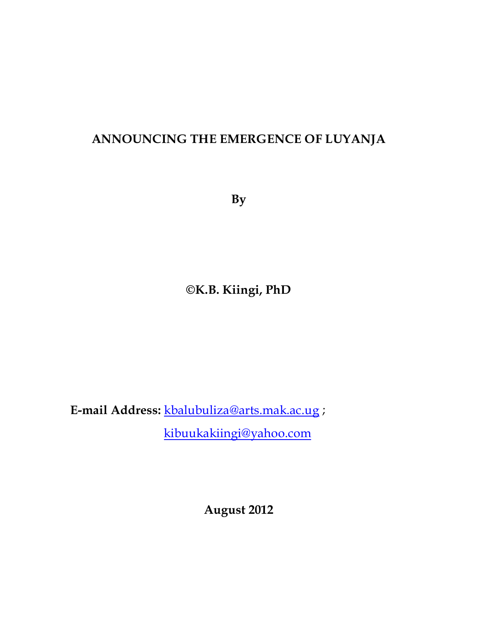## **ANNOUNCING THE EMERGENCE OF LUYANJA**

**By**

## **©K.B. Kiingi, PhD**

**E-mail Address:** [kbalubuliza@arts.mak.ac.ug](mailto:kbalubuliza@arts.mak.ac.ug) ;

[kibuukakiingi@yahoo.com](mailto:kibuukakiingi@yahoo.com)

**August 2012**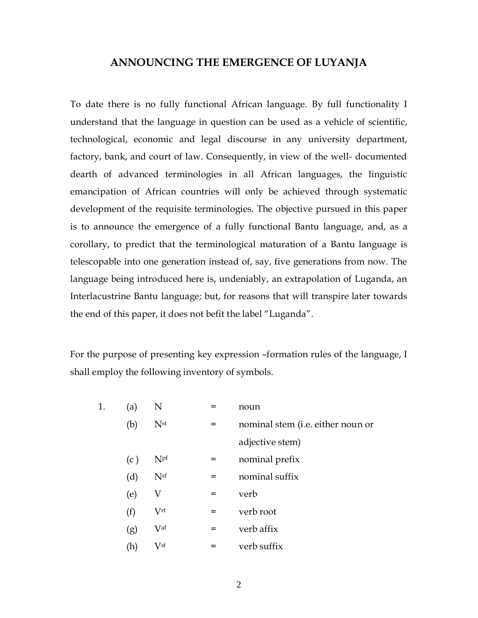## **ANNOUNCING THE EMERGENCE OF LUYANJA**

To date there is no fully functional African language. By full functionality I understand that the language in question can be used as a vehicle of scientific, technological, economic and legal discourse in any university department, factory, bank, and court of law. Consequently, in view of the well- documented dearth of advanced terminologies in all African languages, the linguistic emancipation of African countries will only be achieved through systematic development of the requisite terminologies. The objective pursued in this paper is to announce the emergence of a fully functional Bantu language, and, as a corollary, to predict that the terminological maturation of a Bantu language is telescopable into one generation instead of, say, five generations from now. The language being introduced here is, undeniably, an extrapolation of Luganda, an Interlacustrine Bantu language; but, for reasons that will transpire later towards the end of this paper, it does not befit the label "Luganda".

For the purpose of presenting key expression –formation rules of the language, I shall employ the following inventory of symbols.

| 1. | (a) | N               |     | noun                              |
|----|-----|-----------------|-----|-----------------------------------|
|    | (b) | N <sub>st</sub> | $=$ | nominal stem (i.e. either noun or |
|    |     |                 |     | adjective stem)                   |
|    | (c) | Npf             | $=$ | nominal prefix                    |
|    | (d) | N <sup>sf</sup> | $=$ | nominal suffix                    |
|    | (e) | V               | $=$ | verb                              |
|    | (f) | V <sup>rt</sup> | $=$ | verb root                         |
|    | (g) | Vaf             | $=$ | verb affix                        |
|    | (h) | Vsf             | $=$ | verb suffix                       |

2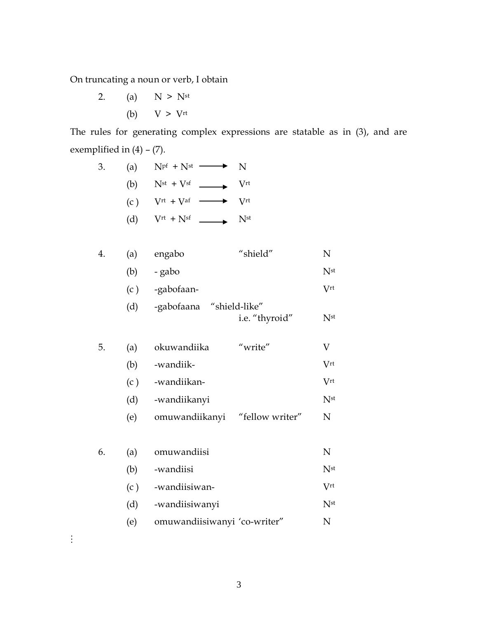On truncating a noun or verb, I obtain

2. (a)  $N > N^{st}$ (b)  $V > V^{rt}$ 

The rules for generating complex expressions are statable as in (3), and are exemplified in  $(4) - (7)$ .

| 3. | (a) | $Npf + Nst$ $\longrightarrow$                                                                                                                                                | $\mathbf N$ |
|----|-----|------------------------------------------------------------------------------------------------------------------------------------------------------------------------------|-------------|
|    | (b) | $N^{st} + V^{sf}$ $\longrightarrow$ V <sup>rt</sup>                                                                                                                          |             |
|    | (c) | $\begin{aligned} \begin{aligned} \textrm{Vrt}\!\!&+\textrm{Vaf} \end{aligned} &\longrightarrow \begin{aligned} \begin{aligned} \textrm{Vrt}\!\!&\end{aligned} \end{aligned}$ |             |
|    | (d) | $V^{\text{rt}} + N^{\text{sf}}$ Nst                                                                                                                                          |             |

| 4. | (a) | engabo | "shield" |  |
|----|-----|--------|----------|--|
|    |     |        |          |  |

| (b) - gabo | N <sub>st</sub> |
|------------|-----------------|
|            |                 |

| (c) | -gabofaan- | $\rm V$ rt |
|-----|------------|------------|
|     |            |            |

| (d) | -gabofaana "shield-like" |     |
|-----|--------------------------|-----|
|     | i.e. "thyroid"           | Nst |

| 5. | (a) | okuwandiika  | "write" |              |
|----|-----|--------------|---------|--------------|
|    | (b) | -wandiik-    |         | $V^{\rm rt}$ |
|    | (c) | -wandiikan-  |         | $V^{\rm rt}$ |
|    | (d) | -wandiikanyi |         | Nst          |
|    |     |              |         |              |

(e) omuwandiikanyi "fellow writer" N

| 6. | (a) | omuwandiisi                  |                 |
|----|-----|------------------------------|-----------------|
|    | (b) | -wandiisi                    | N <sub>st</sub> |
|    | (c) | -wandiisiwan-                | Vrt             |
|    | (d) | -wandiisiwanyi               | N <sub>st</sub> |
|    | (e) | omuwandiisiwanyi 'co-writer" |                 |

 $\vdots$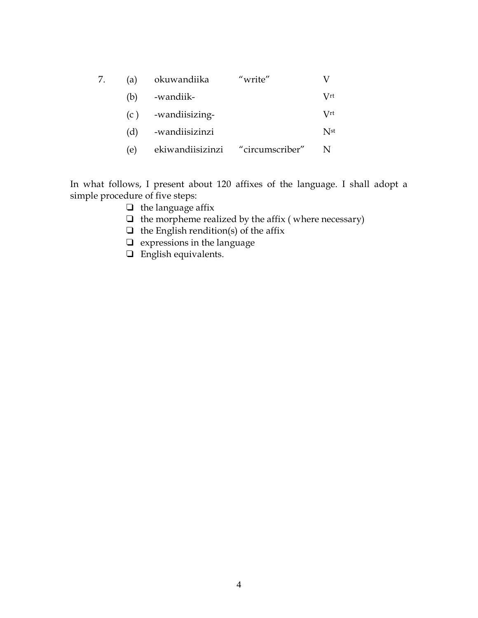| (a) | okuwandiika                      | "write" |                      |
|-----|----------------------------------|---------|----------------------|
| (b) | -wandiik-                        |         | $\operatorname{Vrt}$ |
|     | $(c)$ -wandiisizing-             |         | $\operatorname{Vrt}$ |
| (d) | -wandiisizinzi                   |         | N <sub>st</sub>      |
| (e) | ekiwandiisizinzi "circumscriber" |         |                      |

In what follows, I present about 120 affixes of the language. I shall adopt a simple procedure of five steps:

- ❑ the language affix
- $\Box$  the morpheme realized by the affix (where necessary)
- $\Box$  the English rendition(s) of the affix
- ❑ expressions in the language
- ❑ English equivalents.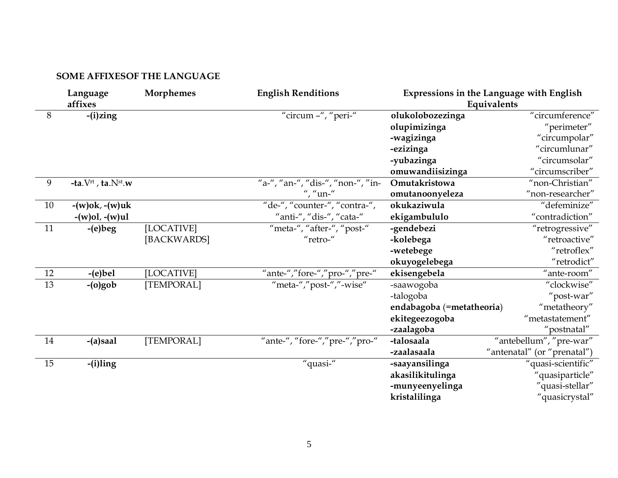## **SOME AFFIXESOF THE LANGUAGE**

|    | Language<br>affixes                           | <b>Morphemes</b> | <b>English Renditions</b>         |                           | Expressions in the Language with English<br>Equivalents |
|----|-----------------------------------------------|------------------|-----------------------------------|---------------------------|---------------------------------------------------------|
| 8  | $-(i)$ zing                                   |                  | "circum -", "peri-"               | olukolobozezinga          | "circumference"                                         |
|    |                                               |                  |                                   | olupimizinga              | "perimeter"                                             |
|    |                                               |                  |                                   | -wagizinga                | "circumpolar"                                           |
|    |                                               |                  |                                   | -ezizinga                 | "circumlunar"                                           |
|    |                                               |                  |                                   | -yubazinga                | "circumsolar"                                           |
|    |                                               |                  |                                   | omuwandiisizinga          | "circumscriber"                                         |
| 9  | -ta. $V^{\text{rt}}$ , ta. $N^{\text{st}}$ .w |                  | "a-", "an-", "dis-", "non-", "in- | Omutakristowa             | "non-Christian"                                         |
|    |                                               |                  | ", "un-"                          | omutanoonyeleza           | "non-researcher"                                        |
| 10 | $-(w)$ ok, $-(w)$ uk                          |                  | "de-", "counter-", "contra-",     | okukaziwula               | "defeminize"                                            |
|    | $-(w)ol, -(w)ul$                              |                  | "anti-", "dis-", "cata-"          | ekigambululo              | "contradiction"                                         |
| 11 | $-(e)$ beg                                    | [LOCATIVE]       | "meta-", "after-", "post-"        | -gendebezi                | "retrogressive"                                         |
|    |                                               | [BACKWARDS]      | "retro-"                          | -kolebega                 | "retroactive"                                           |
|    |                                               |                  |                                   | -wetebege                 | "retroflex"                                             |
|    |                                               |                  |                                   | okuyogelebega             | "retrodict"                                             |
| 12 | $-(e)$ bel                                    | [LOCATIVE]       | "ante-","fore-","pro-","pre-"     | ekisengebela              | $^{\prime\prime}$ ante-room $^{\prime\prime}$           |
| 13 | $-(o)gob$                                     | [TEMPORAL]       | "meta-","post-","-wise"           | -saawogoba                | "clockwise"                                             |
|    |                                               |                  |                                   | -talogoba                 | "post-war"                                              |
|    |                                               |                  |                                   | endabagoba (=metatheoria) | "metatheory"                                            |
|    |                                               |                  |                                   | ekitegeezogoba            | "metastatement"                                         |
|    |                                               |                  |                                   | -zaalagoba                | "postnatal"                                             |
| 14 | -(a)saal                                      | [TEMPORAL]       | "ante-", "fore-","pre-","pro-"    | -talosaala                | "antebellum", "pre-war"                                 |
|    |                                               |                  |                                   | -zaalasaala               | "antenatal" (or "prenatal")                             |
| 15 | -(i)ling                                      |                  | "quasi-"                          | -saayansilinga            | "quasi-scientific"                                      |
|    |                                               |                  |                                   | akasilikitulinga          | "quasiparticle"                                         |
|    |                                               |                  |                                   | -munyeenyelinga           | "quasi-stellar"                                         |
|    |                                               |                  |                                   | kristalilinga             | "quasicrystal"                                          |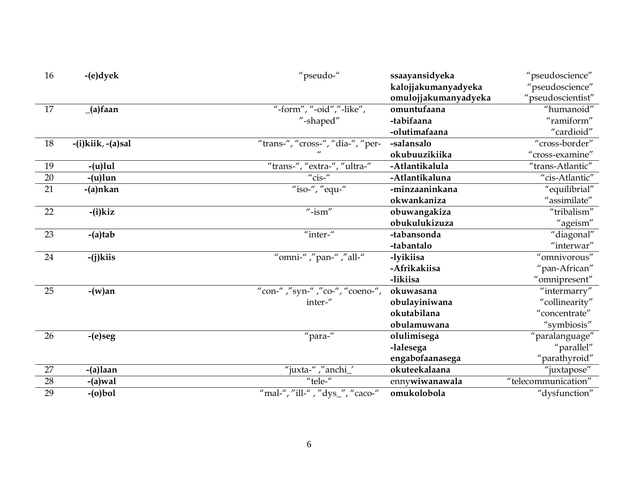| 16 | $-(e)$ dyek       | "pseudo-"                         | ssaayansidyeka       | "pseudoscience"     |
|----|-------------------|-----------------------------------|----------------------|---------------------|
|    |                   |                                   | kalojjakumanyadyeka  | "pseudoscience"     |
|    |                   |                                   | omulojjakumanyadyeka | "pseudoscientist"   |
| 17 | $(a)$ faan        | "-form", "-oid","-like",          | omuntufaana          | "humanoid"          |
|    |                   | "-shaped"                         | -tabifaana           | "ramiform"          |
|    |                   |                                   | -olutimafaana        | "cardioid"          |
| 18 | -(i)kiik, -(a)sal | "trans-", "cross-", "dia-", "per- | -salansalo           | "cross-border"      |
|    |                   |                                   | okubuuzikiika        | "cross-examine"     |
| 19 | $-(u)$ lul        | "trans-", "extra-", "ultra-"      | -Atlantikalula       | "trans-Atlantic"    |
| 20 | $-(u)$ lun        | " $\text{cis}$ "                  | -Atlantikaluna       | "cis-Atlantic"      |
| 21 | -(a)nkan          | "iso-", "equ-"                    | -minzaaninkana       | "equilibrial"       |
|    |                   |                                   | okwankaniza          | "assimilate"        |
| 22 | $-(i)$ kiz        | $"$ -ism"                         | obuwangakiza         | "tribalism"         |
|    |                   |                                   | obukulukizuza        | "ageism"            |
| 23 | $-(a)$ tab        | "inter-"                          | -tabansonda          | "diagonal"          |
|    |                   |                                   | -tabantalo           | $"$ interwar"       |
| 24 | $-(j)$ kiis       | "omni-" ,"pan-" ,"all-"           | -lyikiisa            | "omnivorous"        |
|    |                   |                                   | -Afrikakiisa         | "pan-African"       |
|    |                   |                                   | -likiisa             | "omnipresent"       |
| 25 | $-(w)$ an         | "con-","syn-","co-", "coeno-",    | okuwasana            | "intermarry"        |
|    |                   | inter-"                           | obulayiniwana        | "collinearity"      |
|    |                   |                                   | okutabilana          | "concentrate"       |
|    |                   |                                   | obulamuwana          | "symbiosis"         |
| 26 | -(e)seg           | "para-"                           | olulimisega          | "paralanguage"      |
|    |                   |                                   | -lalesega            | "parallel"          |
|    |                   |                                   | engabofaanasega      | "parathyroid"       |
| 27 | -(a)laan          | "juxta-","anchi_'                 | okuteekalaana        | "juxtapose"         |
| 28 | $-(a)$ wal        | "tele-"                           | ennywiwanawala       | "telecommunication" |
| 29 | $-(o)$ bol        | "mal-", "ill-", "dys_", "caco-"   | omukolobola          | "dysfunction"       |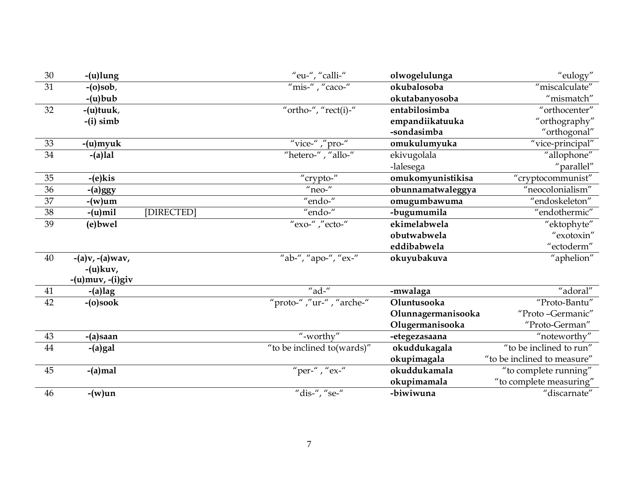| 30 | $-$ (u) $l$ ung        |            | "eu-", "calli-"             | olwogelulunga      | "eulogy"                    |
|----|------------------------|------------|-----------------------------|--------------------|-----------------------------|
| 31 | $-(o)$ sob,            |            | $\mu$ "mis- $\mu$ , "caco-" | okubalosoba        | "miscalculate"              |
|    | $-(u)$ bub             |            |                             | okutabanyosoba     | "mismatch"                  |
| 32 | -(u)tuuk,              |            | "ortho-", " $rect(i)$ -"    | entabilosimba      | "orthocenter"               |
|    | $-(i)$ simb            |            |                             | empandiikatuuka    | "orthography"               |
|    |                        |            |                             | -sondasimba        | "orthogonal"                |
| 33 | -(u)myuk               |            | "vice-","pro-"              | omukulumyuka       | "vice-principal"            |
| 34 | $-(a)$ lal             |            | "hetero-", "allo-"          | ekivugolala        | "allophone"                 |
|    |                        |            |                             | -lalesega          | "parallel"                  |
| 35 | $-(e)$ kis             |            | "crypto-"                   | omukomyunistikisa  | "cryptocommunist"           |
| 36 | $-(a)$ ggy             |            | $n$ eo- $n$                 | obunnamatwaleggya  | "neocolonialism"            |
| 37 | -(w)um                 |            | "endo-"                     | omugumbawuma       | "endoskeleton"              |
| 38 | $-(u)$ mil             | [DIRECTED] | "endo-"                     | -bugumumila        | "endothermic"               |
| 39 | (e) bwel               |            | "exo-","ecto-"              | ekimelabwela       | "ektophyte"                 |
|    |                        |            |                             | obutwabwela        | "exotoxin"                  |
|    |                        |            |                             | eddibabwela        | "ectoderm"                  |
| 40 | $-(a)v, -(a)$ wav,     |            | "ab-", "apo-", "ex-"        | okuyubakuva        | "aphelion"                  |
|    | $-(u)$ kuv,            |            |                             |                    |                             |
|    | $-(u)$ muv, $-(i)$ giv |            |                             |                    |                             |
| 41 | $-(a)$ lag             |            | "ad-"                       | -mwalaga           | "adoral"                    |
| 42 | $-(o)$ soo $k$         |            | "proto-","ur-", "arche-"    | Oluntusooka        | "Proto-Bantu"               |
|    |                        |            |                             | Olunnagermanisooka | "Proto-Germanic"            |
|    |                        |            |                             | Olugermanisooka    | "Proto-German"              |
| 43 | -(a)saan               |            | "-worthy"                   | -etegezasaana      | "noteworthy"                |
| 44 | $-(a) gal$             |            | "to be inclined to (wards)" | okuddukagala       | "to be inclined to run"     |
|    |                        |            |                             | okupimagala        | "to be inclined to measure" |
| 45 | $-(a)$ mal             |            | "per-", "ex-"               | okuddukamala       | "to complete running"       |
|    |                        |            |                             | okupimamala        | "to complete measuring"     |
| 46 | $-(w)$ un              |            | "dis-", "se-"               | -biwiwuna          | "discarnate"                |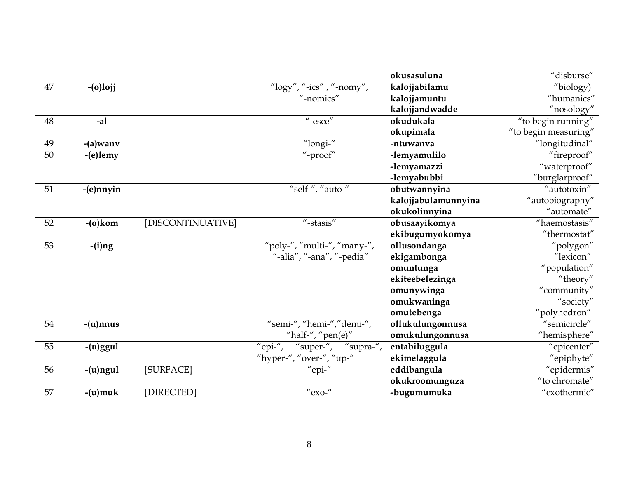|    |             |                   |                                          | okusasuluna         | "disburse"           |
|----|-------------|-------------------|------------------------------------------|---------------------|----------------------|
| 47 | $-(o)$ lojj |                   | " $\log$ y", "-ics", "-nomy",            | kalojjabilamu       | "biology)            |
|    |             |                   | "-nomics"                                | kalojjamuntu        | "humanics"           |
|    |             |                   |                                          | kalojjandwadde      | "nosology"           |
| 48 | $-al$       |                   | $"$ -esce"                               | okudukala           | "to begin running"   |
|    |             |                   |                                          | okupimala           | "to begin measuring" |
| 49 | $-(a)$ wany |                   | "longi-"                                 | -ntuwanva           | "longitudinal"       |
| 50 | -(e)lemy    |                   | "-proof"                                 | -lemyamulilo        | "fireproof"          |
|    |             |                   |                                          | -lemyamazzi         | "waterproof"         |
|    |             |                   |                                          | -lemyabubbi         | "burglarproof"       |
| 51 | -(e)nnyin   |                   | "self-", "auto-"                         | obutwannyina        | "autotoxin"          |
|    |             |                   |                                          | kalojjabulamunnyina | "autobiography"      |
|    |             |                   |                                          | okukolinnyina       | "automate"           |
| 52 | $-(o)$ kom  | [DISCONTINUATIVE] | $"$ -stasis"                             | obusaayikomya       | "haemostasis"        |
|    |             |                   |                                          | ekibugumyokomya     | "thermostat"         |
| 53 | $-(i)$ ng   |                   | "poly-", "multi-", "many-",              | ollusondanga        | "polygon"            |
|    |             |                   | "-alia", "-ana", "-pedia"                | ekigambonga         | "lexicon"            |
|    |             |                   |                                          | omuntunga           | "population"         |
|    |             |                   |                                          | ekiteebelezinga     | "theory"             |
|    |             |                   |                                          | omunywinga          | "community"          |
|    |             |                   |                                          | omukwaninga         | "society"            |
|    |             |                   |                                          | omutebenga          | "polyhedron"         |
| 54 | -(u)nnus    |                   | "semi-", "hemi-","demi-",                | ollukulungonnusa    | "semicircle"         |
|    |             |                   | "half-", " $pen(e)$ "                    | omukulungonnusa     | "hemisphere"         |
| 55 | $-(u)$ ggul |                   | "supra-",<br>"epi-",<br>"super-",        | entabiluggula       | "epicenter"          |
|    |             |                   | "hyper-", "over-", "up-"                 | ekimelaggula        | "epiphyte"           |
| 56 | -(u)ngul    | [SURFACE]         | "epi-"                                   | eddibangula         | "epidermis"          |
|    |             |                   |                                          | okukroomunguza      | "to chromate"        |
| 57 | $-(u)$ muk  | [DIRECTED]        | $^{\prime\prime}$ exo- $^{\prime\prime}$ | -bugumumuka         | "exothermic"         |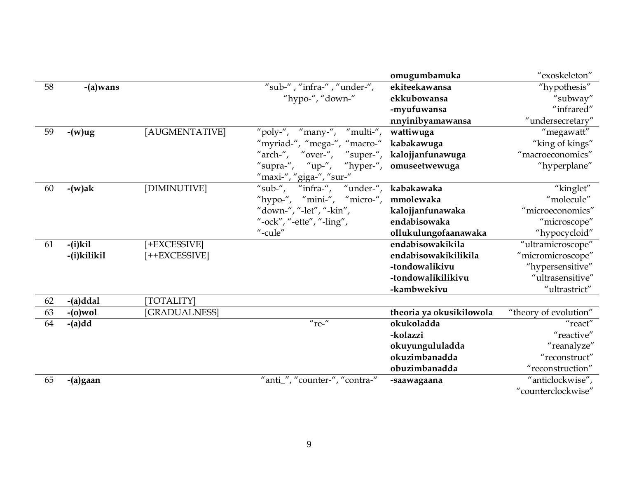|    |             |                |                                              | omugumbamuka             | "exoskeleton"         |
|----|-------------|----------------|----------------------------------------------|--------------------------|-----------------------|
| 58 | -(a)wans    |                | "sub-", "infra-", "under-",                  | ekiteekawansa            | "hypothesis"          |
|    |             |                | "hypo-", "down-"                             | ekkubowansa              | "subway"              |
|    |             |                |                                              | -myufuwansa              | "infrared"            |
|    |             |                |                                              | nnyinibyamawansa         | "undersecretary"      |
| 59 | $-(w)ug$    | [AUGMENTATIVE] | "poly-", "many-", "multi-",                  | wattiwuga                | "megawatt"            |
|    |             |                | "myriad-", "mega-", "macro-"                 | kabakawuga               | "king of kings"       |
|    |             |                | "arch-", "over-", "super-", kalojjanfunawuga |                          | "macroeconomics"      |
|    |             |                | "supra-", "up-", "hyper-", omuseetwewuga     |                          | "hyperplane"          |
|    |             |                | "maxi-", "giga-", "sur-"                     |                          |                       |
| 60 | $-(w)$ ak   | [DIMINUTIVE]   | "sub-",<br>"infra-",                         | "under-", kabakawaka     | "kinglet"             |
|    |             |                | "hypo-", "mini-", "micro-", mmolewaka        |                          | "molecule"            |
|    |             |                | "down-", "-let", "-kin",                     | kalojjanfunawaka         | "microeconomics"      |
|    |             |                | "-ock", "-ette", "-ling",                    | endabisowaka             | "microscope"          |
|    |             |                | "-cule"                                      | ollukulungofaanawaka     | "hypocycloid"         |
| 61 | $-(i)$ kil  | [+EXCESSIVE]   |                                              | endabisowakikila         | "ultramicroscope"     |
|    | -(i)kilikil | [++EXCESSIVE]  |                                              | endabisowakikilikila     | "micromicroscope"     |
|    |             |                |                                              | -tondowalikivu           | "hypersensitive"      |
|    |             |                |                                              | -tondowalikilikivu       | "ultrasensitive"      |
|    |             |                |                                              | -kambwekivu              | "ultrastrict"         |
| 62 | $-(a) dda1$ | [TOTALITY]     |                                              |                          |                       |
| 63 | $-(o)$ wol  | [GRADUALNESS]  |                                              | theoria ya okusikilowola | "theory of evolution" |
| 64 | $-(a)dd$    |                | $n$ re- $n$                                  | okukoladda               | "react"               |
|    |             |                |                                              | -kolazzi                 | "reactive"            |
|    |             |                |                                              | okuyungululadda          | "reanalyze"           |
|    |             |                |                                              | okuzimbanadda            | "reconstruct"         |
|    |             |                |                                              | obuzimbanadda            | "reconstruction"      |
| 65 | -(a)gaan    |                | "anti_", "counter-", "contra-"               | -saawagaana              | "anticlockwise",      |
|    |             |                |                                              |                          | "counterclockwise"    |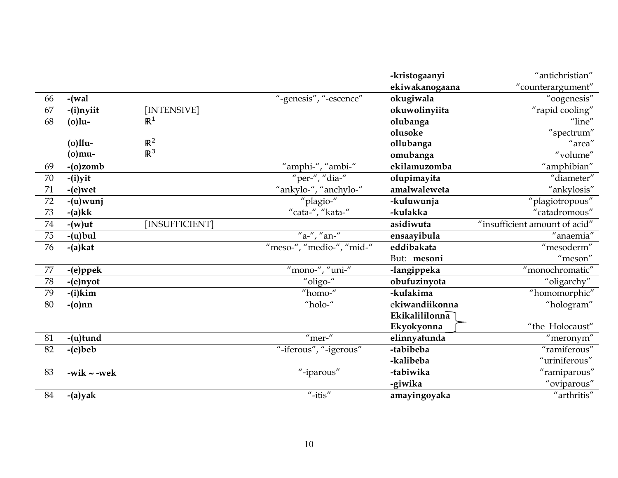|    |                  |                |                           | -kristogaanyi  | "antichristian"                                 |
|----|------------------|----------------|---------------------------|----------------|-------------------------------------------------|
|    |                  |                |                           | ekiwakanogaana | "counterargument"                               |
| 66 | $-$ (wal         |                | "-genesis", "-escence"    | okugiwala      | "oogenesis"                                     |
| 67 | -(i)nyiit        | [INTENSIVE]    |                           | okuwolinyiita  | "rapid cooling"                                 |
| 68 | $(o)$ lu-        | $\mathbb{R}^1$ |                           | olubanga       | "line"                                          |
|    |                  |                |                           | olusoke        | "spectrum"                                      |
|    | $(o)$ llu-       | $\mathbb{R}^2$ |                           | ollubanga      | "area"                                          |
|    | (0)mu-           | $\mathbb{R}^3$ |                           | omubanga       | "volume"                                        |
| 69 | $-(o)zomb$       |                | "amphi-", "ambi-"         | ekilamuzomba   | "amphibian"                                     |
| 70 | $-(i)$ yit       |                | "per-", "dia-"            | olupimayita    | "diameter"                                      |
| 71 | $-(e)$ wet       |                | "ankylo-", "anchylo-"     | amalwaleweta   | "ankylosis"                                     |
| 72 | $-(u)$ wunj      |                | "plagio-"                 | -kuluwunja     | "plagiotropous"                                 |
| 73 | $-(a)kk$         |                | "cata-", "kata-"          | -kulakka       | "catadromous"                                   |
| 74 | $-(w)$ ut        | [INSUFFICIENT] |                           | asidiwuta      | "insufficient amount of acid"                   |
| 75 | $-(u)$ bul       |                | "a-", "an-"               | ensaayibula    | "anaemia"                                       |
| 76 | $-(a)$ kat       |                | "meso-", "medio-", "mid-" | eddibakata     | "mesoderm"                                      |
|    |                  |                |                           | But: mesoni    | $"$ meson"                                      |
| 77 | -(e)ppek         |                | "mono-", "uni-"           | -langippeka    | "monochromatic"                                 |
| 78 | -(e)nyot         |                | "oligo-"                  | obufuzinyota   | "oligarchy"                                     |
| 79 | $-(i)$ kim       |                | "homo-"                   | -kulakima      | "homomorphic"                                   |
| 80 | $-(o)$ nn        |                | "holo-"                   | ekiwandiikonna | "hologram"                                      |
|    |                  |                |                           | Ekikalililonna |                                                 |
|    |                  |                |                           | Ekyokyonna     | "the Holocaust"                                 |
| 81 | $-$ (u)tund      |                | $"$ mer- $"$              | elinnyatunda   | "meronym"                                       |
| 82 | $-(e)$ beb       |                | "-iferous", "-igerous"    | -tabibeba      | "ramiferous"                                    |
|    |                  |                |                           | -kalibeba      | $^{\prime\prime}$ uriniferous $^{\prime\prime}$ |
| 83 | -wik $\sim$ -wek |                | "-iparous"                | -tabiwika      | "ramiparous"                                    |
|    |                  |                |                           | -giwika        | "oviparous"                                     |
| 84 | $-(a)$ yak       |                | $"$ -itis"                | amayingoyaka   | $^{\prime\prime}$ arthritis $^{\prime\prime}$   |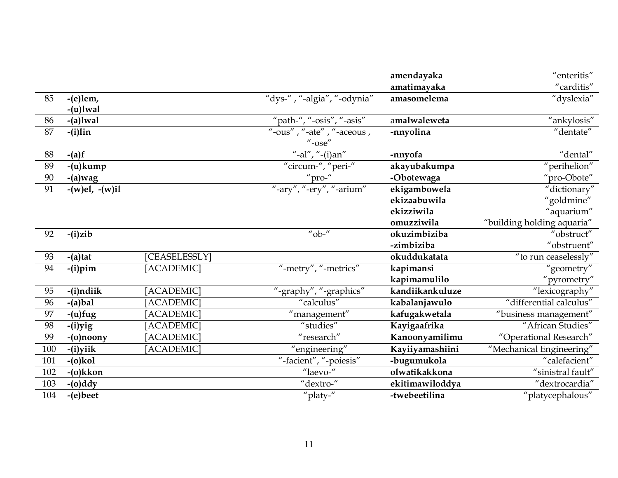|     |                  |               |                                                                                                     | amendayaka      | "enteritis"                |
|-----|------------------|---------------|-----------------------------------------------------------------------------------------------------|-----------------|----------------------------|
|     |                  |               |                                                                                                     | amatimayaka     | "carditis"                 |
| 85  | $-(e)$ lem,      |               | "dys-", "-algia", "-odynia"                                                                         | amasomelema     | "dyslexia"                 |
|     | $-(u)$ lwal      |               |                                                                                                     |                 |                            |
| 86  | $-(a)$ lwal      |               | "path-", "-osis", "-asis"                                                                           | amalwaleweta    | "ankylosis"                |
| 87  | $-(i)$ lin       |               | $\overline{\mathsf{``-ous''}}$ , $\overline{\mathsf{``-ate''}}$ , $\overline{\mathsf{``-aceous}}$ , | -nnyolina       | "dentate"                  |
|     |                  |               | $^{\prime\prime}$ -ose $^{\prime\prime}$                                                            |                 |                            |
| 88  | $-(a)f$          |               | "-al", "-(i)an"                                                                                     | -nnyofa         | "dental"                   |
| 89  | $-(u)$ kump      |               | "circum-", "peri-"                                                                                  | akayubakumpa    | "perihelion"               |
| 90  | $-(a)$ wag       |               | " $pro-$ "                                                                                          | -Obotewaga      | "pro-Obote"                |
| 91  | $-(w)el, -(w)il$ |               | "-ary", "-ery", "-arium"                                                                            | ekigambowela    | "dictionary"               |
|     |                  |               |                                                                                                     | ekizaabuwila    | "goldmine"                 |
|     |                  |               |                                                                                                     | ekizziwila      | "aquarium"                 |
|     |                  |               |                                                                                                     | omuzziwila      | "building holding aquaria" |
| 92  | $-(i)$ zib       |               | "ob-"                                                                                               | okuzimbiziba    | "obstruct"                 |
|     |                  |               |                                                                                                     | -zimbiziba      | "obstruent"                |
| 93  | $-(a)$ tat       | [CEASELESSLY] |                                                                                                     | okuddukatata    | "to run ceaselessly"       |
| 94  | $-(i)$ pim       | [ACADEMIC]    | "-metry", "-metrics"                                                                                | kapimansi       | "geometry"                 |
|     |                  |               |                                                                                                     | kapimamulilo    | "pyrometry"                |
| 95  | -(i)ndiik        | [ACADEMIC]    | "-graphy", "-graphics"                                                                              | kandiikankuluze | "lexicography"             |
| 96  | $-(a)$ bal       | [ACADEMIC]    | "calculus"                                                                                          | kabalanjawulo   | "differential calculus"    |
| 97  | $-$ (u)fug       | [ACADEMIC]    | "management"                                                                                        | kafugakwetala   | "business management"      |
| 98  | $-(i)$ yig       | [ACADEMIC]    | "studies"                                                                                           | Kayigaafrika    | "African Studies"          |
| 99  | $-(o)$ noony     | [ACADEMIC]    | "research"                                                                                          | Kanoonyamilimu  | "Operational Research"     |
| 100 | $-(i)$ yiik      | [ACADEMIC]    | "engineering"                                                                                       | Kayiiyamashiini | "Mechanical Engineering"   |
| 101 | $-(o)$ kol       |               | "-facient", "-poiesis"                                                                              | -bugumukola     | "calefacient"              |
| 102 | $-(o)$ kkon      |               | "laevo-"                                                                                            | olwatikakkona   | "sinistral fault"          |
| 103 | $-(o)$ ddy       |               | "dextro-"                                                                                           | ekitimawiloddya | "dextrocardia"             |
| 104 | $-(e)$ beet      |               | "platy-"                                                                                            | -twebeetilina   | "platycephalous"           |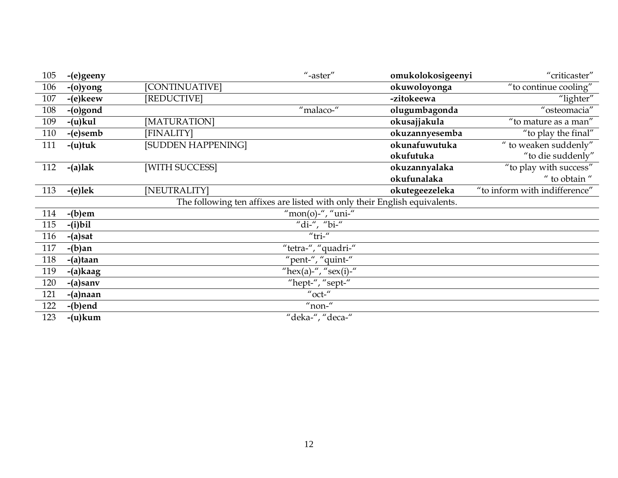| 105 | -(e)geeny   |                    | $"$ -aster"                                                               | omukolokosigeenyi | "criticaster"                 |
|-----|-------------|--------------------|---------------------------------------------------------------------------|-------------------|-------------------------------|
| 106 | -(o)yong    | [CONTINUATIVE]     |                                                                           | okuwoloyonga      | "to continue cooling"         |
| 107 | -(e)keew    | [REDUCTIVE]        |                                                                           | -zitokeewa        | "lighter"                     |
| 108 | -(o)gond    |                    | "malaco-"                                                                 | olugumbagonda     | "osteomacia"                  |
| 109 | $-(u)$ kul  | [MATURATION]       |                                                                           | okusajjakula      | "to mature as a man"          |
| 110 | $-(e)$ semb | [FINALITY]         |                                                                           | okuzannyesemba    | "to play the final"           |
| 111 | $-(u)$ tuk  | [SUDDEN HAPPENING] |                                                                           | okunafuwutuka     | " to weaken suddenly"         |
|     |             |                    |                                                                           | okufutuka         | "to die suddenly"             |
| 112 | $-(a)$ lak  | [WITH SUCCESS]     |                                                                           | okuzannyalaka     | "to play with success"        |
|     |             |                    |                                                                           | okufunalaka       | " to obtain "                 |
| 113 | $-(e)$ lek  | [NEUTRALITY]       |                                                                           | okutegeezeleka    | "to inform with indifference" |
|     |             |                    | The following ten affixes are listed with only their English equivalents. |                   |                               |
| 114 | $-(b)$ em   |                    | "mon(o)-", "uni-"                                                         |                   |                               |
| 115 | $-(i)$ bil  |                    | "di-", "bi-"                                                              |                   |                               |
| 116 | $-(a)$ sat  |                    | " $tri$ "                                                                 |                   |                               |
| 117 | $-(b)$ an   |                    | "tetra-", "quadri-"                                                       |                   |                               |
| 118 | -(a)taan    |                    | "pent-", "quint-"                                                         |                   |                               |
| 119 | $-(a)$ kaag |                    | "hex(a)-", "sex(i)-"                                                      |                   |                               |
| 120 | $-(a)$ sanv |                    | "hept-", "sept-"                                                          |                   |                               |
| 121 | -(a)naan    |                    | $''$ oct- $''$                                                            |                   |                               |
| 122 | $-(b)$ end  |                    | $"$ non- $"$                                                              |                   |                               |
| 123 | $-(u)$ kum  |                    | "deka-", "deca-"                                                          |                   |                               |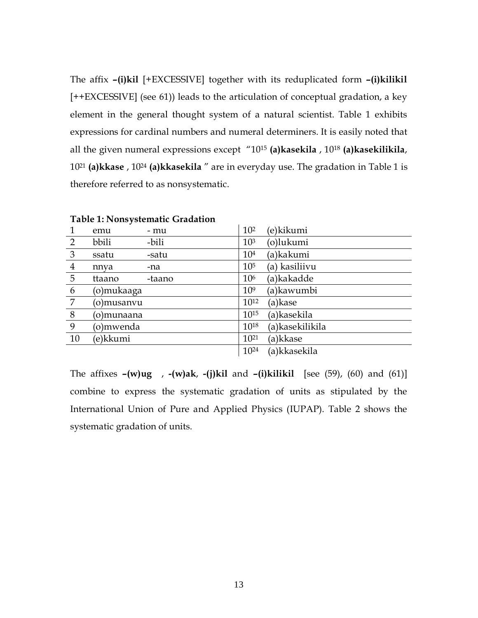The affix **–(i)kil** [+EXCESSIVE] together with its reduplicated form **–(i)kilikil** [++EXCESSIVE] (see 61)) leads to the articulation of conceptual gradation, a key element in the general thought system of a natural scientist. Table 1 exhibits expressions for cardinal numbers and numeral determiners. It is easily noted that all the given numeral expressions except "1015 **(a)kasekila** , 1018 **(a)kasekilikila**, 1021 **(a)kkase** , 1024 **(a)kkasekila** " are in everyday use. The gradation in Table 1 is therefore referred to as nonsystematic.

| 1              | emu        | - mu   | 10 <sup>2</sup> | (e)kikumi       |
|----------------|------------|--------|-----------------|-----------------|
| 2              | bbili      | -bili  | 10 <sup>3</sup> | (o)lukumi       |
| 3              | ssatu      | -satu  | 10 <sup>4</sup> | (a)kakumi       |
| $\overline{4}$ | nnva       | -na    | 10 <sup>5</sup> | (a) kasiliivu   |
| 5              | ttaano     | -taano | 10 <sup>6</sup> | (a)kakadde      |
| 6              | (o)mukaaga |        | 10 <sup>9</sup> | (a)kawumbi      |
| 7              | (o)musanvu |        | $10^{12}$       | (a)kase         |
| 8              | (o)munaana |        | $10^{15}$       | (a)kasekila     |
| 9              | (o)mwenda  |        | $10^{18}$       | (a)kasekilikila |
| 10             | (e)kkumi   |        | $10^{21}$       | (a)kkase        |
|                |            |        | $10^{24}$       | (a)kkasekila    |
|                |            |        |                 |                 |

**Table 1: Nonsystematic Gradation** 

The affixes **–(w)ug** , **-(w)ak**, **-(j)kil** and **–(i)kilikil** [see (59), (60) and (61)] combine to express the systematic gradation of units as stipulated by the International Union of Pure and Applied Physics (IUPAP). Table 2 shows the systematic gradation of units.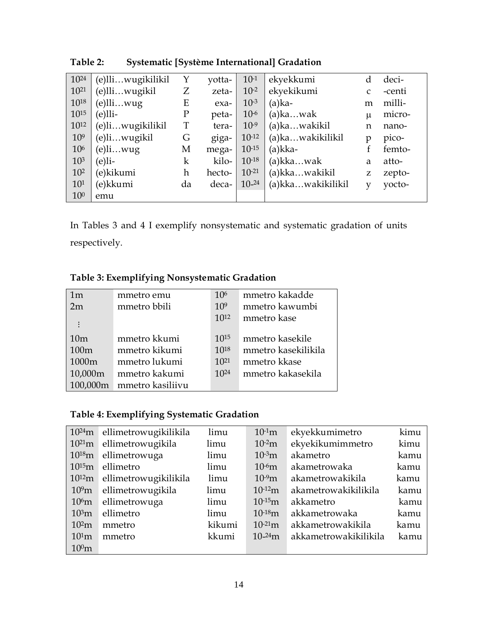| 1024            | (e)lliwugikilikil | Y           | yotta- | $10-1$     | ekyekkumi         | d     | deci-  |
|-----------------|-------------------|-------------|--------|------------|-------------------|-------|--------|
| $10^{21}$       | (e)lliwugikil     | Ζ           | zeta-  | $10^{-2}$  | ekyekikumi        | C     | -centi |
| $10^{18}$       | e)lli…wug)        | Ε           | exa-   | $10^{-3}$  | $(a)$ ka-         | m     | milli- |
| 1015            | (e)lli-           | $\mathbf P$ | peta-  | $10-6$     | $(a)$ kawak       | $\mu$ | micro- |
| $10^{12}$       | (e)liwugikilikil  | T           | tera-  | $10^{-9}$  | (a)kawakikil      | n     | nano-  |
| 10 <sup>9</sup> | (e)liwugikil      | G           | giga-  | $10^{-12}$ | (a)kawakikilikil  | p     | pico-  |
| 106             | (e)li…wug         | M           | mega-  | $10^{-15}$ | (a)kka-           | f     | femto- |
| 10 <sup>3</sup> | $(e)$ li-         | $\mathbf k$ | kilo-  | $10^{-18}$ | $(a)$ kkawak      | a     | atto-  |
| 10 <sup>2</sup> | (e)kikumi         | h           | hecto- | $10^{-21}$ | (a)kkawakikil     | Z     | zepto- |
| $10^{1}$        | (e)kkumi          | da          | deca-  | $10-24$    | (a)kkawakikilikil | v     | yocto- |
| 10 <sup>0</sup> | emu               |             |        |            |                   |       |        |

**Table 2: Systematic [Système International] Gradation** 

In Tables 3 and 4 I exemplify nonsystematic and systematic gradation of units respectively.

| 1m       | mmetro emu       | 10 <sup>6</sup> | mmetro kakadde      |
|----------|------------------|-----------------|---------------------|
| 2m       | mmetro bbili     | 10 <sup>9</sup> | mmetro kawumbi      |
|          |                  | $10^{12}$       | mmetro kase         |
| 10m      | mmetro kkumi     | $10^{15}$       | mmetro kasekile     |
|          |                  |                 |                     |
| 100m     | mmetro kikumi    | $10^{18}$       | mmetro kasekilikila |
| 1000m    | mmetro lukumi    | $10^{21}$       | mmetro kkase        |
| 10,000m  | mmetro kakumi    | $10^{24}$       | mmetro kakasekila   |
| 100,000m | mmetro kasiliivu |                 |                     |

**Table 4: Exemplifying Systematic Gradation** 

| $10^{24}$ m       | ellimetrowugikilikila | limu   | $10-1m$           | ekyekkumimetro        | kimu |
|-------------------|-----------------------|--------|-------------------|-----------------------|------|
| $10^{21}m$        | ellimetrowugikila     | limu   | 10 <sup>2</sup> m | ekyekikumimmetro      | kimu |
| $10^{18}$ m       | ellimetrowuga         | limu   | 10 <sup>3</sup> m | akametro              | kamu |
| $10^{15}$ m       | ellimetro             | limu   | $10-6m$           | akametrowaka          | kamu |
| $10^{12}m$        | ellimetrowugikilikila | limu   | $10-9m$           | akametrowakikila      | kamu |
| 10 <sup>9</sup> m | ellimetrowugikila     | limu   | $10^{-12}m$       | akametrowakikilikila  | kamu |
| 10 <sup>6</sup> m | ellimetrowuga         | limu   | $10^{-15}m$       | akkametro             | kamu |
| 10 <sup>3</sup> m | ellimetro             | limu   | $10^{-18}m$       | akkametrowaka         | kamu |
| 10 <sup>2</sup> m | mmetro                | kikumi | $10^{-21}$ m      | akkametrowakikila     | kamu |
| 10 <sup>1</sup> m | mmetro                | kkumi  | $10^{-24}$ m      | akkametrowakikilikila | kamu |
| 10 <sup>0</sup> m |                       |        |                   |                       |      |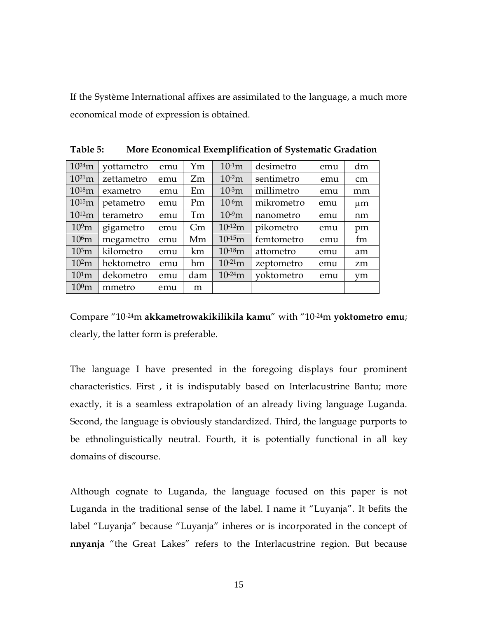If the Système International affixes are assimilated to the language, a much more economical mode of expression is obtained.

| $10^{24}$ m       | vottametro | emu | Ym  | $10^{-1}m$        | desimetro  | emu | dm        |
|-------------------|------------|-----|-----|-------------------|------------|-----|-----------|
| $10^{21}m$        | zettametro | emu | Zm  | $10-2m$           | sentimetro | emu | cm        |
| $10^{18}m$        | exametro   | emu | Em  | 10 <sup>3</sup> m | millimetro | emu | mm        |
| $10^{15}$ m       | petametro  | emu | Pm  | $10-6m$           | mikrometro | emu | $\mu$ m   |
| $10^{12}m$        | terametro  | emu | Tm  | $10^{9}m$         | nanometro  | emu | nm        |
| 10 <sup>9</sup> m | gigametro  | emu | Gm  | $10^{-12}m$       | pikometro  | emu | pm        |
| 10 <sup>6</sup> m | megametro  | emu | Mm  | $10^{-15}m$       | femtometro | emu | fm        |
| 10 <sup>3</sup> m | kilometro  | emu | km  | $10^{-18}m$       | attometro  | emu | am        |
| 10 <sup>2</sup> m | hektometro | emu | hm  | $10^{-21}$ m      | zeptometro | emu | zm        |
| 10 <sup>1</sup> m | dekometro  | emu | dam | $10^{-24}$ m      | voktometro | emu | <b>vm</b> |
| 10 <sup>0</sup> m | mmetro     | emu | m   |                   |            |     |           |

**Table 5: More Economical Exemplification of Systematic Gradation** 

Compare "10-24m **akkametrowakikilikila kamu**" with "10-24m **yoktometro emu**; clearly, the latter form is preferable.

The language I have presented in the foregoing displays four prominent characteristics. First , it is indisputably based on Interlacustrine Bantu; more exactly, it is a seamless extrapolation of an already living language Luganda. Second, the language is obviously standardized. Third, the language purports to be ethnolinguistically neutral. Fourth, it is potentially functional in all key domains of discourse.

Although cognate to Luganda, the language focused on this paper is not Luganda in the traditional sense of the label. I name it "Luyanja". It befits the label "Luyanja" because "Luyanja" inheres or is incorporated in the concept of **nnyanja** "the Great Lakes" refers to the Interlacustrine region. But because